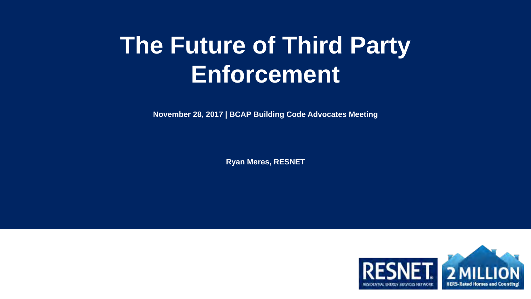# **The Future of Third Party Enforcement**

**November 28, 2017 | BCAP Building Code Advocates Meeting**

**Ryan Meres, RESNET**

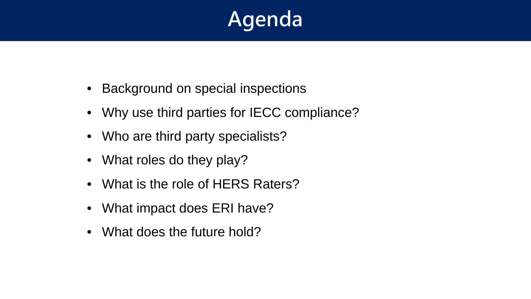## **Agenda**

- Background on special inspections
- Why use third parties for IECC compliance?
- Who are third party specialists?
- What roles do they play?
- What is the role of HERS Raters?
- What impact does ERI have?
- What does the future hold?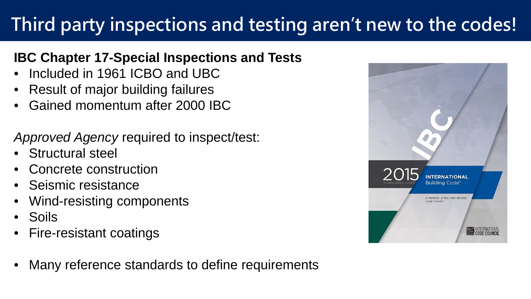## **Third party inspections and testing aren't new to the codes!**

#### **IBC Chapter 17-Special Inspections and Tests**

- Included in 1961 ICBO and UBC
- Result of major building failures
- Gained momentum after 2000 IBC

*Approved Agency* required to inspect/test:

- Structural steel
- Concrete construction
- Seismic resistance
- Wind-resisting components
- Soils
- Fire-resistant coatings
- Many reference standards to define requirements

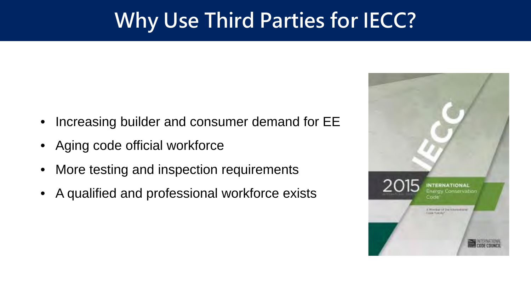## **Why Use Third Parties for IECC?**

- Increasing builder and consumer demand for EE
- Aging code official workforce
- More testing and inspection requirements
- A qualified and professional workforce exists

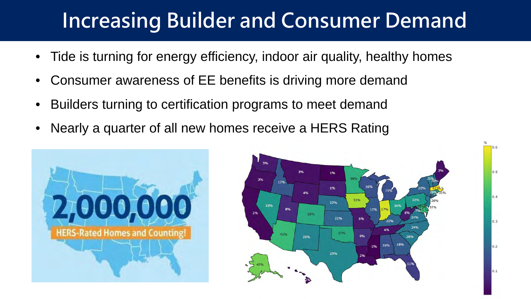## **Increasing Builder and Consumer Demand**

- Tide is turning for energy efficiency, indoor air quality, healthy homes
- Consumer awareness of EE benefits is driving more demand
- Builders turning to certification programs to meet demand
- Nearly a quarter of all new homes receive a HERS Rating





0.5

 $0.4$ 

 $0.3$ 

 $0.2$ 

 $0.1$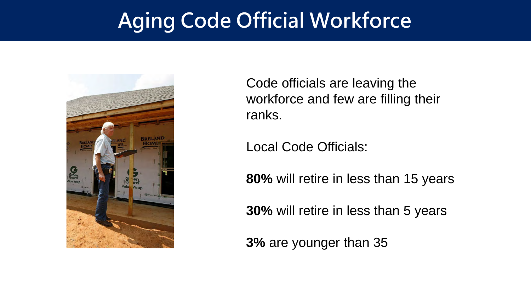## **Aging Code Official Workforce**



Code officials are leaving the workforce and few are filling their ranks.

Local Code Officials:

**80%** will retire in less than 15 years

**30%** will retire in less than 5 years

**3%** are younger than 35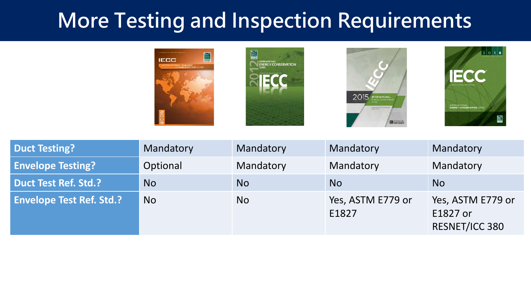## **More Testing and Inspection Requirements**









| <b>Duct Testing?</b>            | Mandatory | Mandatory | Mandatory                  | Mandatory                                       |
|---------------------------------|-----------|-----------|----------------------------|-------------------------------------------------|
| <b>Envelope Testing?</b>        | Optional  | Mandatory | Mandatory                  | Mandatory                                       |
| Duct Test Ref. Std.?            | <b>No</b> | <b>No</b> | No.                        | <b>No</b>                                       |
| <b>Envelope Test Ref. Std.?</b> | <b>No</b> | <b>No</b> | Yes, ASTM E779 or<br>E1827 | Yes, ASTM E779 or<br>E1827 or<br>RESNET/ICC 380 |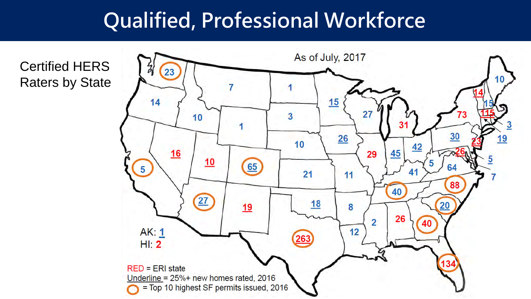## **Qualified, Professional Workforce**

Certified HERS Raters by State

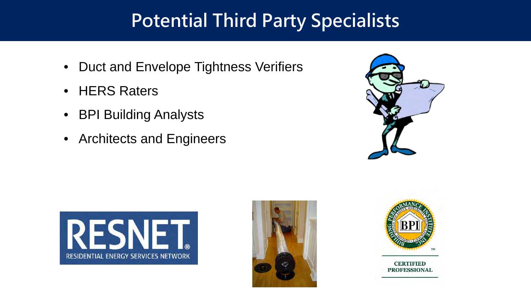#### **Potential Third Party Specialists**

- Duct and Envelope Tightness Verifiers
- HERS Raters
- BPI Building Analysts
- Architects and Engineers









**CERTIFIED PROFESSIONAL**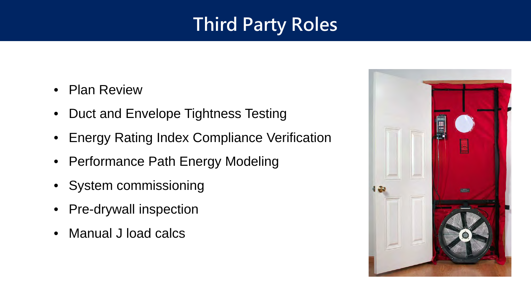### **Third Party Roles**

- Plan Review
- Duct and Envelope Tightness Testing
- Energy Rating Index Compliance Verification
- Performance Path Energy Modeling
- System commissioning
- Pre-drywall inspection
- Manual J load calcs

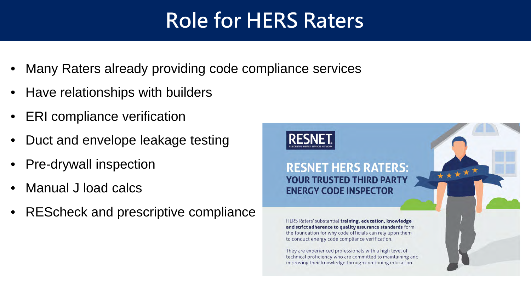## **Role for HERS Raters**

- Many Raters already providing code compliance services
- Have relationships with builders
- ERI compliance verification
- Duct and envelope leakage testing
- Pre-drywall inspection
- Manual J load calcs
- REScheck and prescriptive compliance

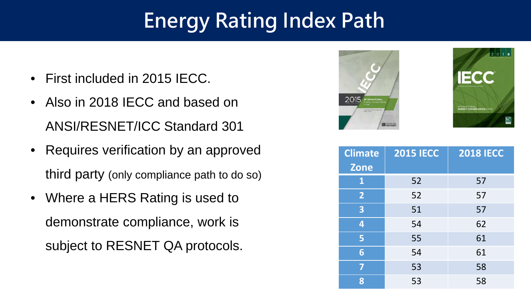## **Energy Rating Index Path**

- First included in 2015 IECC.
- Also in 2018 IECC and based on ANSI/RESNET/ICC Standard 301
- Requires verification by an approved third party (only compliance path to do so)
- Where a HERS Rating is used to demonstrate compliance, work is subject to RESNET QA protocols.





| <b>Climate</b>          | <b>2015 IECC</b> | <b>2018 IECC</b> |
|-------------------------|------------------|------------------|
| <b>Zone</b>             |                  |                  |
| 1                       | 52               | 57               |
| $\overline{2}$          | 52               | 57               |
| $\overline{\mathbf{3}}$ | 51               | 57               |
| 4                       | 54               | 62               |
| 5                       | 55               | 61               |
| 6                       | 54               | 61               |
| 7                       | 53               | 58               |
| 8                       | 53               | 58               |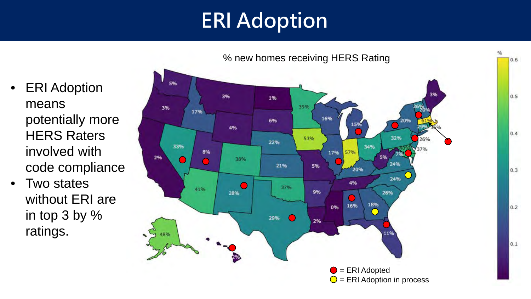## **ERI Adoption**

- ERI Adoption means potentially more HERS Raters involved with code compliance
- Two states without ERI are in top 3 by % ratings.

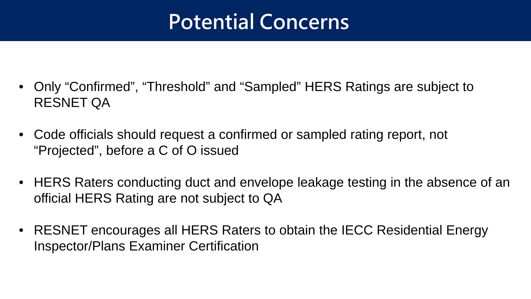## **Potential Concerns**

- Only "Confirmed", "Threshold" and "Sampled" HERS Ratings are subject to RESNET QA
- Code officials should request a confirmed or sampled rating report, not "Projected", before a C of O issued
- HERS Raters conducting duct and envelope leakage testing in the absence of an official HERS Rating are not subject to QA
- RESNET encourages all HERS Raters to obtain the IECC Residential Energy Inspector/Plans Examiner Certification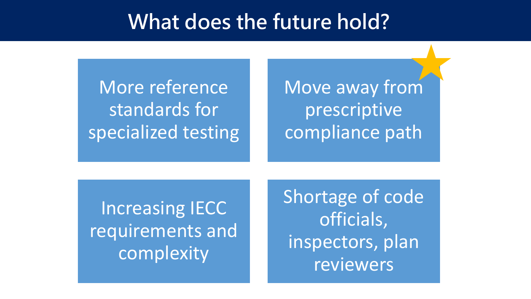#### **What does the future hold?**

More reference standards for specialized testing Move away from prescriptive compliance path

Increasing IECC requirements and complexity

Shortage of code officials, inspectors, plan reviewers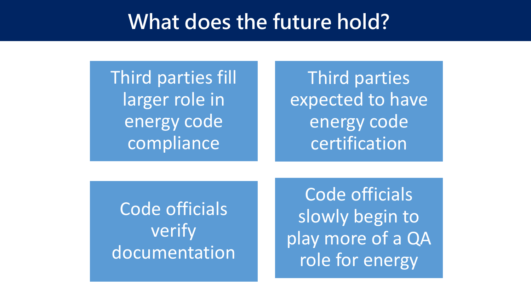#### **What does the future hold?**

Third parties fill larger role in energy code compliance

Third parties expected to have energy code certification

Code officials verify documentation

Code officials slowly begin to play more of a QA role for energy